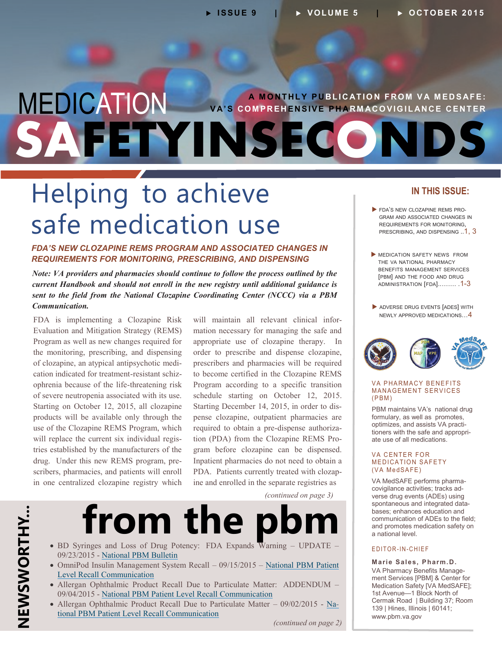### MEDICATION FETYINSECO **A MONTHLY PUBLICATION FROM VA MEDSAFE: VA'S COMPREHENSIVE PHARMACOVIGILANCE CENTER**

## Helping to achieve safe medication use

#### *FDA'S NEW CLOZAPINE REMS PROGRAM AND ASSOCIATED CHANGES IN REQUIREMENTS FOR MONITORING, PRESCRIBING, AND DISPENSING*

*Note: VA providers and pharmacies should continue to follow the process outlined by the current Handbook and should not enroll in the new registry until additional guidance is sent to the field from the National Clozapine Coordinating Center (NCCC) via a PBM Communication.* 

- of clozapine, an atypical antipsychotic medi - cation indicated for treatment-resistant schiz - drug. Under this new REMS program, pre FDA is implementing a Clozapine Risk Evaluation and Mitigation Strategy (REMS) Program as well as new changes required for the monitoring, prescribing, and dispensing ophrenia because of the life-threatening risk of severe neutropenia associated with its use. Starting on October 12, 2015, all clozapine products will be available only through the use of the Clozapine REMS Program, which will replace the current six individual registries established by the manufacturers of the scribers, pharmacies, and patients will enroll in one centralized clozapine registry which

- will maintain all relevant clinical infor Starting December 14, 2015, in order to dis-- tion (PDA) from the Clozapine REMS Pro-PDA. Patients currently treated with clozapmation necessary for managing the safe and appropriate use of clozapine therapy. In order to prescribe and dispense clozapine, prescribers and pharmacies will be required to become certified in the Clozapine REMS Program according to a specific transition schedule starting on October 12, 2015. pense clozapine, outpatient pharmacies are required to obtain a pre-dispense authoriza gram before clozapine can be dispensed. Inpatient pharmacies do not need to obtain a ine and enrolled in the separate registries as

 *(continued on page 3)* 

## from the pb

- BD Syringes and Loss of Drug Potency: FDA Expands Warning UPDATE -09/23/2015 - [National PBM Bulletin](http://www.pbm.va.gov/PBM/vacenterformedicationsafety/nationalpbmbulletin/BD_Syringes_and_Loss_of_Drug_Potency_UPDATE_NATIONAL_PBM_BULLETIN_09231.pdf)
- OmniPod Insulin Management System Recall 09/15/2015 [National PBM Patient](https://www.pbm.va.gov/PBM/vacenterformedicationsafety/nationalpbmcommunication/OmniPod_Insulin_Management_System_Recall_National_PBM_Patient_Level_Recall.pdf) [Level Recall Communication](https://www.pbm.va.gov/PBM/vacenterformedicationsafety/nationalpbmcommunication/OmniPod_Insulin_Management_System_Recall_National_PBM_Patient_Level_Recall.pdf)
- Allergan Ophthalmic Product Recall Due to Particulate Matter: ADDENDUM 09/04/2015 - [National PBM Patient Level Recall Communication](http://www.pbm.va.gov/PBM/vacenterformedicationsafety/nationalpbmcommunication/Allergan_Ophthalimic_Product_Recall_Due_to_Particulate_Matter_ADDENDUM_National_PBM_Patient_Level_Recall_Communication_FINAL_090415.pdf)
- Allergan Ophthalmic Product Recall Due to Particulate Matter  $09/02/2015$  [Na](http://www.pbm.va.gov/PBM/vacenterformedicationsafety/nationalpbmcommunication/OmniPod_Insulin_Management_System_Recall_National_PBM_Patient_Level_Recall.pdf)[tional PBM Patient Level Recall Communication](http://www.pbm.va.gov/PBM/vacenterformedicationsafety/nationalpbmcommunication/OmniPod_Insulin_Management_System_Recall_National_PBM_Patient_Level_Recall.pdf)

*(continued on page 2)* 

#### **IN THIS ISSUE:**

- FDA'S NEW CLOZAPINE REMS PRO-GRAM AND ASSOCIATED CHANGES IN REQUIREMENTS FOR MONITORING, PRESCRIBING, AND DISPENSING .. 1, 3
- **MEDICATION SAFETY NEWS FROM** THE VA NATIONAL PHARMACY BENEFITS MANAGEMENT SERVICES [PBM] AND THE FOOD AND DRUG [ADMINISTRATION \[FDA\]..……. .1](#page-1-0)-3
- ADVERSE DRUG EVENTS [ADES] WITH [NEWLY APPROVED MEDICATIONS…4](#page-3-0)



#### **VA PHARMACY BENEFITS MANAGEMENT SERVICES**  $(PBM)$

- optimizes, and assists VA practi-<br>tioners with the safe and appropri-PBM maintains VA's national drug formulary, as well as promotes, optimizes, and assists VA practi ate use of all medications.

#### **VA CENTER FOR MEDICATION SAFETY** (VA MedSAFE)

- VA MedSAFE performs pharma - covigilance activities; tracks ad - spontaneous and integrated data verse drug events (ADEs) using bases; enhances education and communication of ADEs to the field; and promotes medication safety on a national level.

#### E D I T O R - I N - C H I E F

- VA Pharmacy Benefits Manage **Marie Sales, Pharm .D.**  ment Services [PBM] & Center for Medication Safety [VA MedSAFE]; 1st Avenue—1 Block North of Cermak Road | Building 37; Room 139 | Hines, Illinois | 60141; [www.pbm.va.gov](http://www.pbm.va.gov)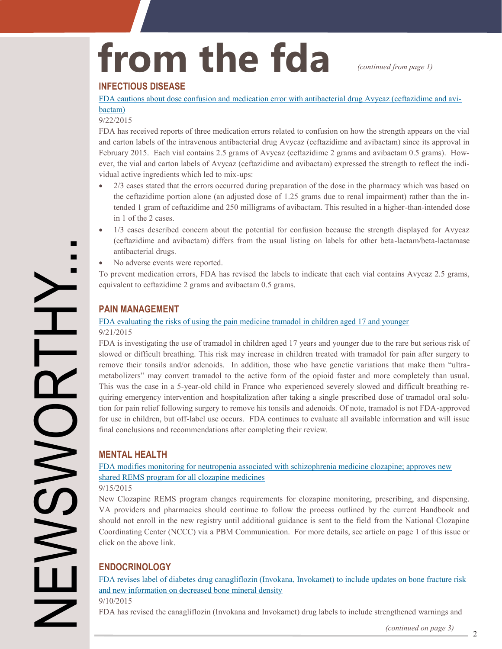# <span id="page-1-0"></span>from the fda *continued from page 1)*

#### **INFECTIOUS DISEASE**

[FDA cautions about dose confusion and medication error with antibacterial drug Avycaz \(ceftazidime and avi](http://www.fda.gov/Drugs/DrugSafety/ucm463248.htm)[bactam\)](http://www.fda.gov/Drugs/DrugSafety/ucm463248.htm) 

#### 9/22/2015

FDA has received reports of three medication errors related to confusion on how the strength appears on the vial and carton labels of the intravenous antibacterial drug Avycaz (ceftazidime and avibactam) since its approval in February 2015. Each vial contains 2.5 grams of Avycaz (ceftazidime 2 grams and avibactam 0.5 grams). However, the vial and carton labels of Avycaz (ceftazidime and avibactam) expressed the strength to reflect the indi vidual active ingredients which led to mix-ups:

- the ceftazidime portion alone (an adjusted dose of 1.25 grams due to renal impairment) rather than the in- 2/3 cases stated that the errors occurred during preparation of the dose in the pharmacy which was based on tended 1 gram of ceftazidime and 250 milligrams of avibactam. This resulted in a higher-than-intended dose in 1 of the 2 cases.
- 1/3 cases described concern about the potential for confusion because the strength displayed for Avycaz (ceftazidime and avibactam) differs from the usual listing on labels for other beta-lactam/beta-lactamase antibacterial drugs.
- No adverse events were reported.

To prevent medication errors, FDA has revised the labels to indicate that each vial contains Avycaz 2.5 grams, equivalent to ceftazidime 2 grams and avibactam 0.5 grams.

#### **PAIN MANAGEMENT**

#### [FDA evaluating the risks of using the pain medicine tramadol in children aged 17 and younger](http://www.fda.gov/Drugs/DrugSafety/ucm462991.htm)  9/21/2015

This was the case in a 5-year-old child in France who experienced severely slowed and difficult breathing re-- quiring emergency intervention and hospitalization after taking a single prescribed dose of tramadol oral solu FDA is investigating the use of tramadol in children aged 17 years and younger due to the rare but serious risk of slowed or difficult breathing. This risk may increase in children treated with tramadol for pain after surgery to remove their tonsils and/or adenoids. In addition, those who have genetic variations that make them "ultrametabolizers" may convert tramadol to the active form of the opioid faster and more completely than usual. tion for pain relief following surgery to remove his tonsils and adenoids. Of note, tramadol is not FDA-approved for use in children, but off-label use occurs. FDA continues to evaluate all available information and will issue final conclusions and recommendations after completing their review.

#### **MENTAL HEALTH**

[FDA modifies monitoring for neutropenia associated with schizophrenia medicine clozapine; approves new](http://www.fda.gov/Drugs/DrugSafety/ucm461853.htm)  [shared REMS program for all clozapine medicines](http://www.fda.gov/Drugs/DrugSafety/ucm461853.htm) 

#### 9/15/2015

New Clozapine REMS program changes requirements for clozapine monitoring, prescribing, and dispensing. VA providers and pharmacies should continue to follow the process outlined by the current Handbook and should not enroll in the new registry until additional guidance is sent to the field from the National Clozapine Coordinating Center (NCCC) via a PBM Communication. For more details, see article on page 1 of this issue or click on the above link.

#### **ENDOCRINOLOGY**

[FDA revises label of diabetes drug canagliflozin \(Invokana, Invokamet\) to include updates on bone fracture risk](http://www.fda.gov/Drugs/DrugSafety/ucm461449.htm)  [and new information on decreased bone mineral density](http://www.fda.gov/Drugs/DrugSafety/ucm461449.htm) 

9/10/2015

FDA has revised the canagliflozin (Invokana and Invokamet) drug labels to include strengthened warnings and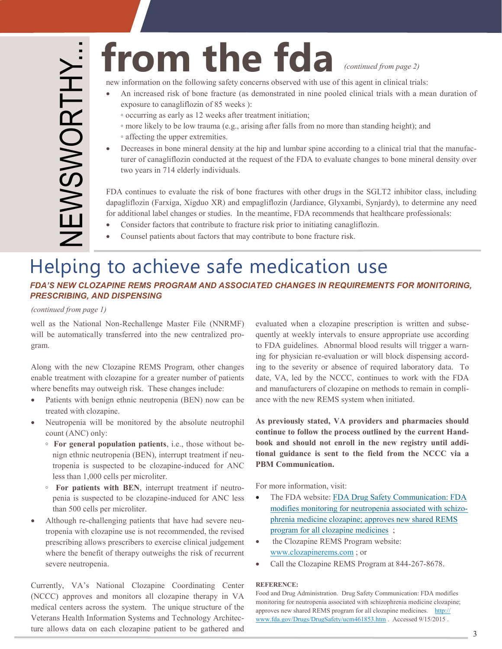## from the fda *(continued from page 2)*

new information on the following safety concerns observed with use of this agent in clinical trials:

- An increased risk of bone fracture (as demonstrated in nine pooled clinical trials with a mean duration of exposure to canagliflozin of 85 weeks ):
	- occurring as early as 12 weeks after treatment initiation;
	- more likely to be low trauma (e.g., arising after falls from no more than standing height); and ◦ affecting the upper extremities.
- Decreases in bone mineral density at the hip and lumbar spine according to a clinical trial that the manufacturer of canagliflozin conducted at the request of the FDA to evaluate changes to bone mineral density over two years in 714 elderly individuals.

FDA continues to evaluate the risk of bone fractures with other drugs in the SGLT2 inhibitor class, including dapagliflozin (Farxiga, Xigduo XR) and empagliflozin (Jardiance, Glyxambi, Synjardy), to determine any need for additional label changes or studies. In the meantime, FDA recommends that healthcare professionals:

- Consider factors that contribute to fracture risk prior to initiating canagliflozin.
- Counsel patients about factors that may contribute to bone fracture risk.

### Helping to achieve safe medication use

#### *FDA'S NEW CLOZAPINE REMS PROGRAM AND ASSOCIATED CHANGES IN REQUIREMENTS FOR MONITORING, PRESCRIBING, AND DISPENSING*

*(continued from page 1)* 

will be automatically transferred into the new centralized prowell as the National Non-Rechallenge Master File (NNRMF) gram.

Along with the new Clozapine REMS Program, other changes enable treatment with clozapine for a greater number of patients where benefits may outweigh risk. These changes include:

- Patients with benign ethnic neutropenia (BEN) now can be treated with clozapine.
- Neutropenia will be monitored by the absolute neutrophil count (ANC) only:
	- **◦ For general population patients**, i.e., those without be tropenia is suspected to be clozapine-induced for ANC less than 1,000 cells per microliter. - nign ethnic neutropenia (BEN), interrupt treatment if neu
	- **◦ For patients with BEN**, interrupt treatment if neutro penia is suspected to be clozapine-induced for ANC less than 500 cells per microliter.
- Although re-challenging patients that have had severe neutropenia with clozapine use is not recommended, the revised prescribing allows prescribers to exercise clinical judgement where the benefit of therapy outweighs the risk of recurrent severe neutropenia.

Veterans Health Information Systems and Technology Architec-Currently, VA's National Clozapine Coordinating Center (NCCC) approves and monitors all clozapine therapy in VA medical centers across the system. The unique structure of the ture allows data on each clozapine patient to be gathered and

- evaluated when a clozapine prescription is written and subse to FDA guidelines. Abnormal blood results will trigger a warning for physician re-evaluation or will block dispensing accordand manufacturers of clozapine on methods to remain in compliquently at weekly intervals to ensure appropriate use according ing to the severity or absence of required laboratory data. To date, VA, led by the NCCC, continues to work with the FDA ance with the new REMS system when initiated.

**- continue to follow the process outlined by the current Hand** - **- book and should not enroll in the new registry until addi As previously stated, VA providers and pharmacies should tional guidance is sent to the field from the NCCC via a PBM Communication.** 

For more information, visit:

- [modifies monitoring for neutropenia associated with schizo](http://www.fda.gov/Drugs/DrugSafety/ucm461853.htm)- The FDA website: [FDA Drug Safety Communication: FDA](http://www.fda.gov/Drugs/DrugSafety/ucm461853.htm) [phrenia medicine clozapine; approves new shared REMS](http://www.fda.gov/Drugs/DrugSafety/ucm461853.htm) [program for all clozapine medicines](http://www.fda.gov/Drugs/DrugSafety/ucm461853.htm) ;
- the Clozapine REMS Program website: [www.clozapinerems.com](http://www.clozapinerems.com/) ; or
- Call the Clozapine REMS Program at 844-267-8678.

#### **REFERENCE:**

 Food and Drug Administration. Drug Safety Communication: FDA modifies monitoring for neutropenia associated with schizophrenia medicine clozapine; approves new shared REMS program for all clozapine medicines. http:// [www.fda.gov/Drugs/DrugSafety/ucm461853.htm](http://www.fda.gov/Drugs/DrugSafety/ucm461853.htm) . Accessed 9/15/2015 .